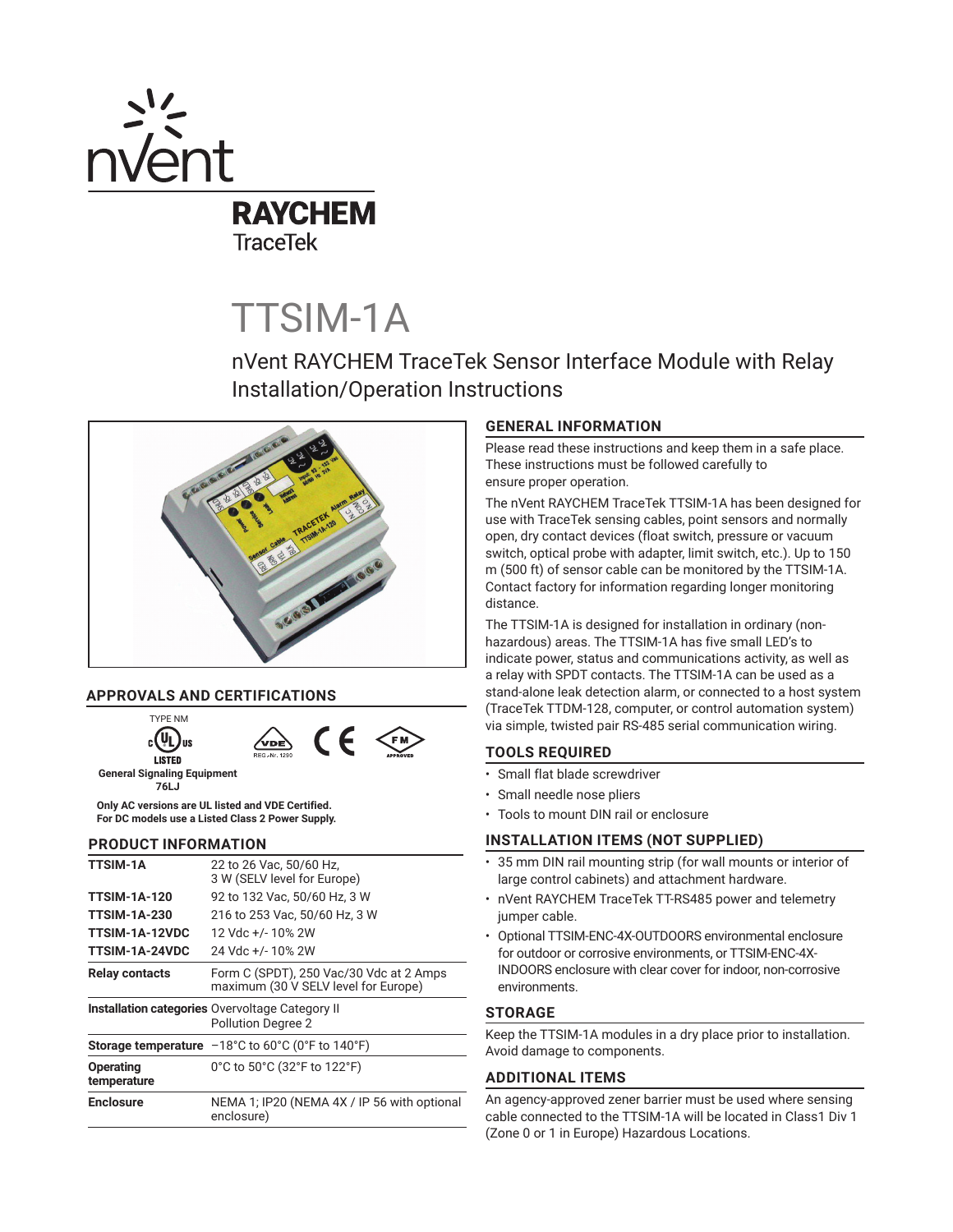

# TTSIM-1A

nVent RAYCHEM TraceTek Sensor Interface Module with Relay Installation/Operation Instructions



# **APPROVALS AND CERTIFICATIONS**



**76LJ Only AC versions are UL listed and VDE Certified.** 

**For DC models use a Listed Class 2 Power Supply.**

# **PRODUCT INFORMATION**

| <b>TTSIM-1A</b>                 | 22 to 26 Vac, 50/60 Hz,<br>3 W (SELV level for Europe)                                             |
|---------------------------------|----------------------------------------------------------------------------------------------------|
| <b>TTSIM-1A-120</b>             | 92 to 132 Vac, 50/60 Hz, 3 W                                                                       |
| <b>TTSIM-1A-230</b>             | 216 to 253 Vac, 50/60 Hz, 3 W                                                                      |
| <b>TTSIM-1A-12VDC</b>           | 12 Vdc +/- 10% 2W                                                                                  |
| TTSIM-1A-24VDC                  | 24 Vdc +/-10% 2W                                                                                   |
| <b>Relay contacts</b>           | Form C (SPDT), 250 Vac/30 Vdc at 2 Amps<br>maximum (30 V SELV level for Europe)                    |
|                                 | <b>Installation categories Overvoltage Category II</b><br><b>Pollution Degree 2</b>                |
|                                 | <b>Storage temperature</b> $-18^{\circ}$ C to 60 $^{\circ}$ C (0 $^{\circ}$ F to 140 $^{\circ}$ F) |
| <b>Operating</b><br>temperature | 0°C to 50°C (32°F to 122°F)                                                                        |
| <b>Enclosure</b>                | NEMA 1; IP20 (NEMA 4X / IP 56 with optional<br>enclosure)                                          |

# **GENERAL INFORMATION**

Please read these instructions and keep them in a safe place. These instructions must be followed carefully to ensure proper operation.

The nVent RAYCHEM TraceTek TTSIM-1A has been designed for use with TraceTek sensing cables, point sensors and normally open, dry contact devices (float switch, pressure or vacuum switch, optical probe with adapter, limit switch, etc.). Up to 150 m (500 ft) of sensor cable can be monitored by the TTSIM-1A. Contact factory for information regarding longer monitoring distance.

The TTSIM-1A is designed for installation in ordinary (nonhazardous) areas. The TTSIM-1A has five small LED's to indicate power, status and communications activity, as well as a relay with SPDT contacts. The TTSIM-1A can be used as a stand-alone leak detection alarm, or connected to a host system (TraceTek TTDM-128, computer, or control automation system) via simple, twisted pair RS-485 serial communication wiring.

# **TOOLS REQUIRED**

- Small flat blade screwdriver
- Small needle nose pliers
- Tools to mount DIN rail or enclosure

# **INSTALLATION ITEMS (NOT SUPPLIED)**

- 35 mm DIN rail mounting strip (for wall mounts or interior of large control cabinets) and attachment hardware.
- nVent RAYCHEM TraceTek TT-RS485 power and telemetry jumper cable.
- Optional TTSIM-ENC-4X-OUTDOORS environmental enclosure for outdoor or corrosive environments, or TTSIM-ENC-4X-INDOORS enclosure with clear cover for indoor, non-corrosive environments.

# **STORAGE**

Keep the TTSIM-1A modules in a dry place prior to installation. Avoid damage to components.

# **ADDITIONAL ITEMS**

An agency-approved zener barrier must be used where sensing cable connected to the TTSIM-1A will be located in Class1 Div 1 (Zone 0 or 1 in Europe) Hazardous Locations.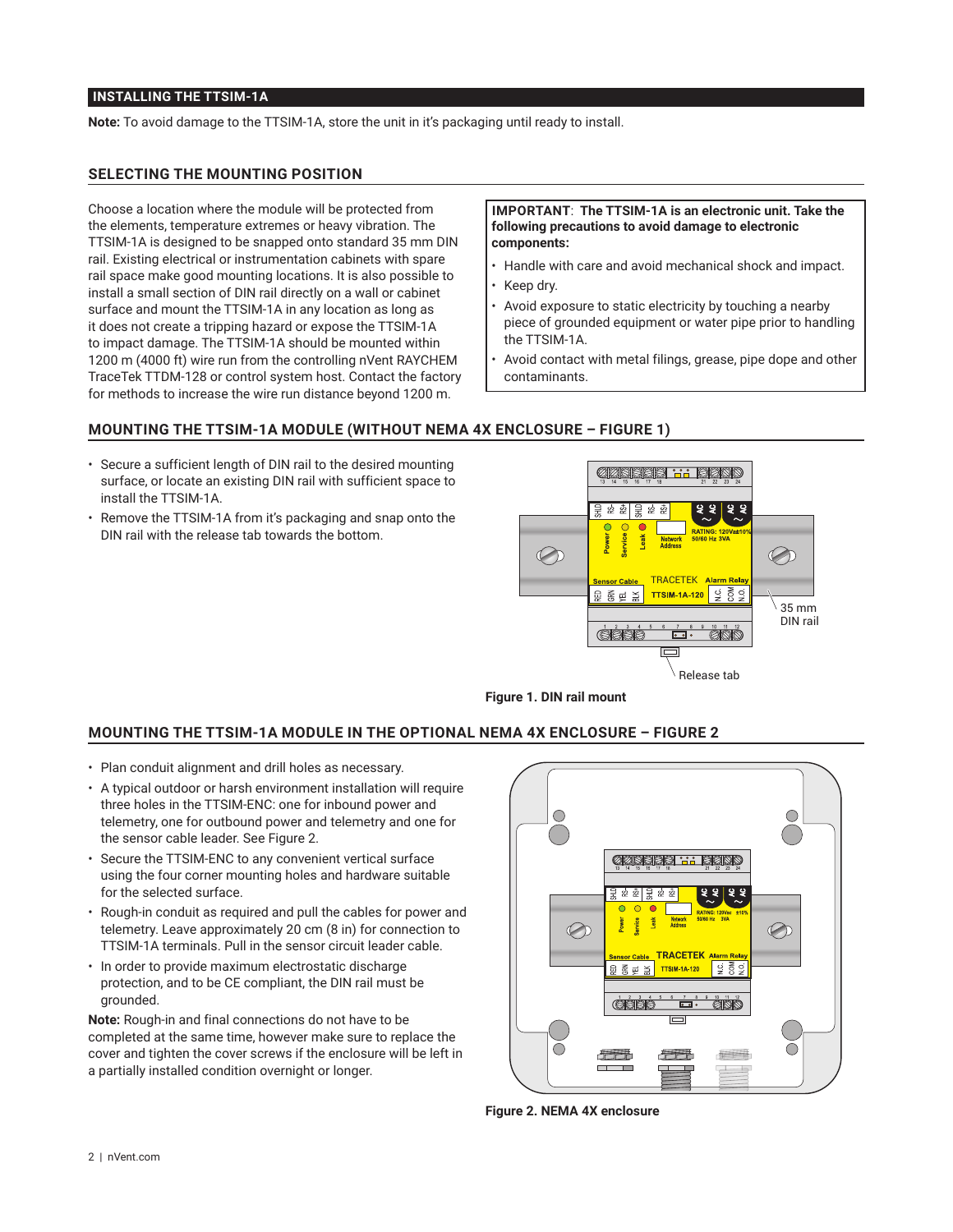#### **INSTALLING THE TTSIM-1A**

**Note:** To avoid damage to the TTSIM-1A, store the unit in it's packaging until ready to install.

#### **SELECTING THE MOUNTING POSITION**

Choose a location where the module will be protected from the elements, temperature extremes or heavy vibration. The TTSIM-1A is designed to be snapped onto standard 35 mm DIN rail. Existing electrical or instrumentation cabinets with spare rail space make good mounting locations. It is also possible to install a small section of DIN rail directly on a wall or cabinet surface and mount the TTSIM-1A in any location as long as it does not create a tripping hazard or expose the TTSIM-1A to impact damage. The TTSIM-1A should be mounted within 1200 m (4000 ft) wire run from the controlling nVent RAYCHEM TraceTek TTDM-128 or control system host. Contact the factory for methods to increase the wire run distance beyond 1200 m.

#### **IMPORTANT**: **The TTSIM-1A is an electronic unit. Take the following precautions to avoid damage to electronic components:**

- Handle with care and avoid mechanical shock and impact.
- Keep dry.
- Avoid exposure to static electricity by touching a nearby piece of grounded equipment or water pipe prior to handling the TTSIM-1A.
- Avoid contact with metal filings, grease, pipe dope and other contaminants.

#### **MOUNTING THE TTSIM-1A MODULE (WITHOUT NEMA 4X ENCLOSURE – FIGURE 1)**

- Secure a sufficient length of DIN rail to the desired mounting surface, or locate an existing DIN rail with sufficient space to install the TTSIM-1A.
- Remove the TTSIM-1A from it's packaging and snap onto the DIN rail with the release tab towards the bottom.





# **MOUNTING THE TTSIM-1A MODULE IN THE OPTIONAL NEMA 4X ENCLOSURE – FIGURE 2**

- Plan conduit alignment and drill holes as necessary.
- A typical outdoor or harsh environment installation will require three holes in the TTSIM-ENC: one for inbound power and telemetry, one for outbound power and telemetry and one for the sensor cable leader. See Figure 2.
- Secure the TTSIM-ENC to any convenient vertical surface using the four corner mounting holes and hardware suitable for the selected surface.
- Rough-in conduit as required and pull the cables for power and telemetry. Leave approximately 20 cm (8 in) for connection to TTSIM-1A terminals. Pull in the sensor circuit leader cable.
- In order to provide maximum electrostatic discharge protection, and to be CE compliant, the DIN rail must be grounded.

**Note:** Rough-in and final connections do not have to be completed at the same time, however make sure to replace the cover and tighten the cover screws if the enclosure will be left in a partially installed condition overnight or longer.



**Figure 2. NEMA 4X enclosure**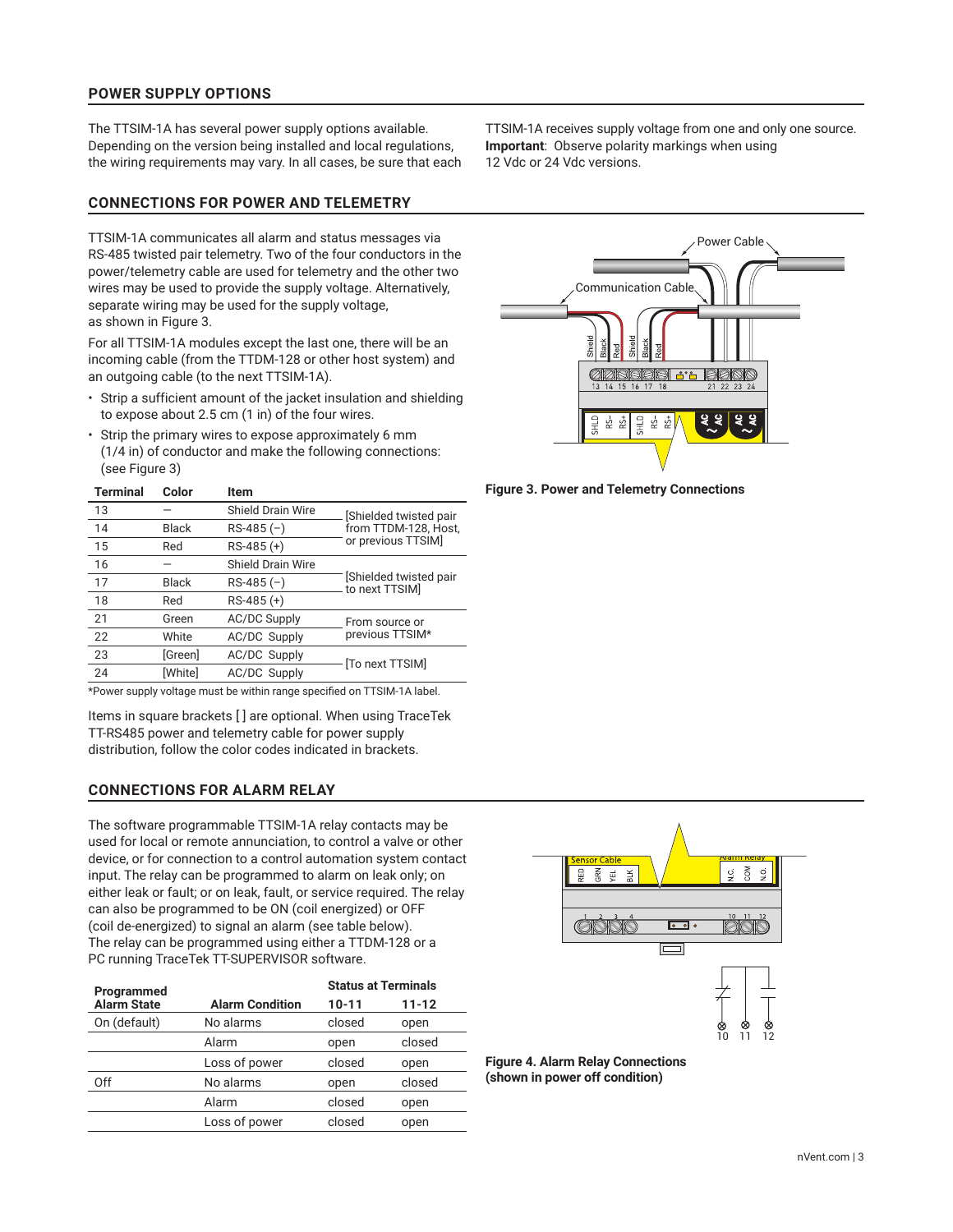# **POWER SUPPLY OPTIONS**

The TTSIM-1A has several power supply options available. Depending on the version being installed and local regulations, the wiring requirements may vary. In all cases, be sure that each

#### **CONNECTIONS FOR POWER AND TELEMETRY**

TTSIM-1A communicates all alarm and status messages via RS-485 twisted pair telemetry. Two of the four conductors in the power/telemetry cable are used for telemetry and the other two wires may be used to provide the supply voltage. Alternatively, separate wiring may be used for the supply voltage, as shown in Figure 3.

For all TTSIM-1A modules except the last one, there will be an incoming cable (from the TTDM-128 or other host system) and an outgoing cable (to the next TTSIM-1A).

- Strip a sufficient amount of the jacket insulation and shielding to expose about 2.5 cm (1 in) of the four wires.
- Strip the primary wires to expose approximately 6 mm (1/4 in) of conductor and make the following connections: (see Figure 3)

| <b>Terminal</b> | Color   | Item                     |                                         |  |
|-----------------|---------|--------------------------|-----------------------------------------|--|
| 13              |         | <b>Shield Drain Wire</b> | Shielded twisted pair                   |  |
| 14              | Black   | $RS-485(-)$              | from TTDM-128, Host,                    |  |
| 15              | Red     | $RS-485 (+)$             | or previous TTSIM]                      |  |
| 16              |         | Shield Drain Wire        |                                         |  |
| 17              | Black   | $RS-485(-)$              | Shielded twisted pair<br>to next TTSIM] |  |
| 18              | Red     | $RS-485 (+)$             |                                         |  |
| 21              | Green   | <b>AC/DC Supply</b>      | From source or                          |  |
| 22              | White   | <b>AC/DC Supply</b>      | previous TTSIM*                         |  |
| 23              | [Green] | <b>AC/DC Supply</b>      | [To next TTSIM]                         |  |
| 24              | [White] | <b>AC/DC Supply</b>      |                                         |  |
|                 |         |                          |                                         |  |

\*Power supply voltage must be within range specified on TTSIM-1A label.

Items in square brackets [ ] are optional. When using TraceTek TT-RS485 power and telemetry cable for power supply distribution, follow the color codes indicated in brackets.

# **CONNECTIONS FOR ALARM RELAY**

The software programmable TTSIM-1A relay contacts may be used for local or remote annunciation, to control a valve or other device, or for connection to a control automation system contact input. The relay can be programmed to alarm on leak only; on either leak or fault; or on leak, fault, or service required. The relay can also be programmed to be ON (coil energized) or OFF (coil de-energized) to signal an alarm (see table below). The relay can be programmed using either a TTDM-128 or a PC running TraceTek TT-SUPERVISOR software.

| Programmed         | <b>Status at Terminals</b> |        |           |
|--------------------|----------------------------|--------|-----------|
| <b>Alarm State</b> | <b>Alarm Condition</b>     | 10-11  | $11 - 12$ |
| On (default)       | No alarms                  | closed | open      |
|                    | Alarm                      | open   | closed    |
|                    | Loss of power              | closed | open      |
| Off                | No alarms                  | open   | closed    |
|                    | Alarm                      | closed | open      |
|                    | Loss of power              | closed | open      |

TTSIM-1A receives supply voltage from one and only one source. **Important**:Observe polarity markings when using 12 Vdc or 24 Vdc versions.



**Figure 3. Power and Telemetry Connections**



**Figure 4. Alarm Relay Connections (shown in power off condition)**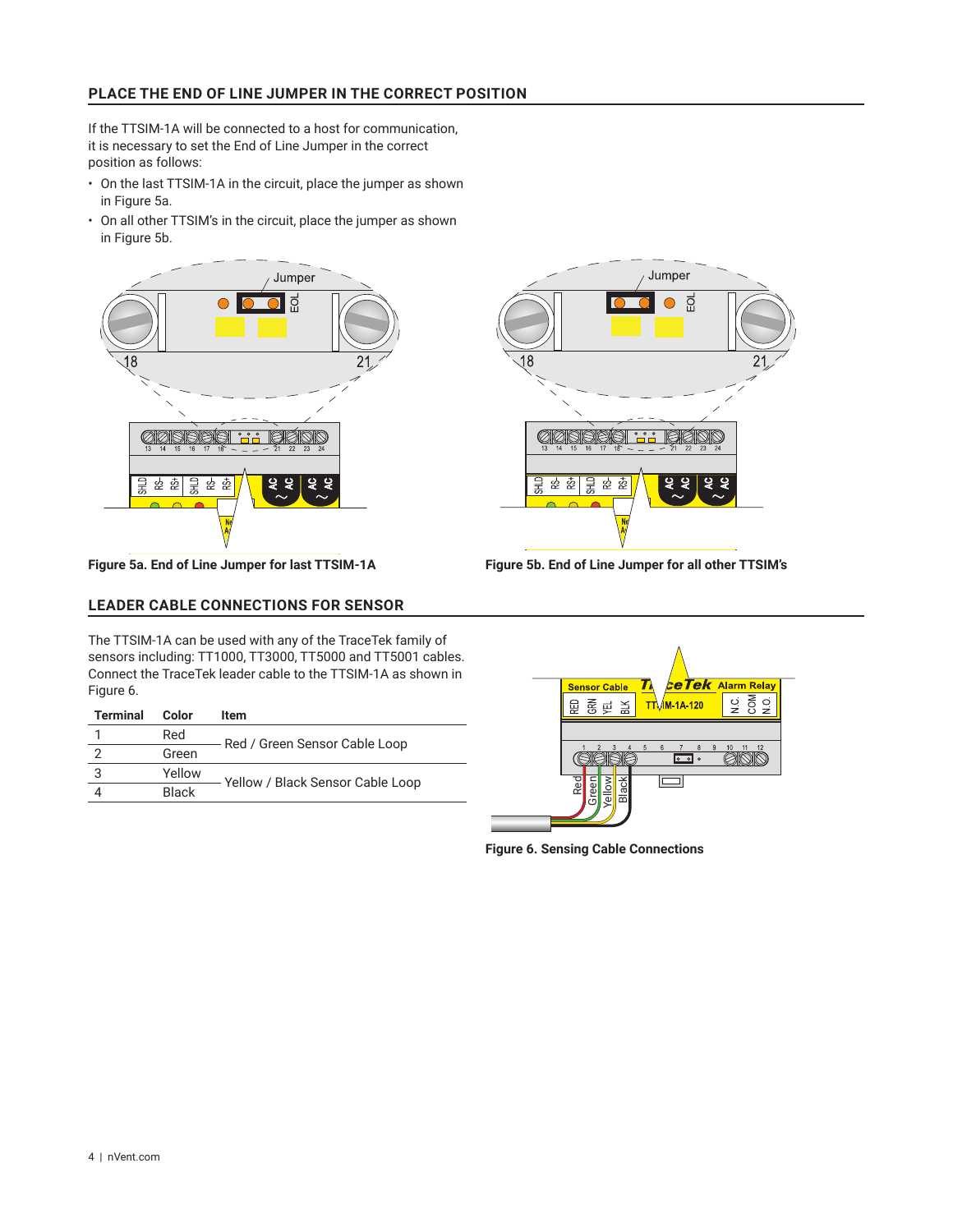# **PLACE THE END OF LINE JUMPER IN THE CORRECT POSITION**

If the TTSIM-1A will be connected to a host for communication, it is necessary to set the End of Line Jumper in the correct position as follows:

- On the last TTSIM-1A in the circuit, place the jumper as shown in Figure 5a.
- On all other TTSIM's in the circuit, place the jumper as shown in Figure 5b.





**Figure 5a. End of Line Jumper for last TTSIM-1A Figure 5b. End of Line Jumper for all other TTSIM's**

#### **LEADER CABLE CONNECTIONS FOR SENSOR**

The TTSIM-1A can be used with any of the TraceTek family of sensors including: TT1000, TT3000, TT5000 and TT5001 cables. Connect the TraceTek leader cable to the TTSIM-1A as shown in Figure 6.

| <b>Terminal</b> | Color        | ltem                             |
|-----------------|--------------|----------------------------------|
|                 | Red          |                                  |
|                 | Green        | Red / Green Sensor Cable Loop    |
| 3               | Yellow       |                                  |
|                 | <b>Black</b> | Yellow / Black Sensor Cable Loop |



**Figure 6. Sensing Cable Connections**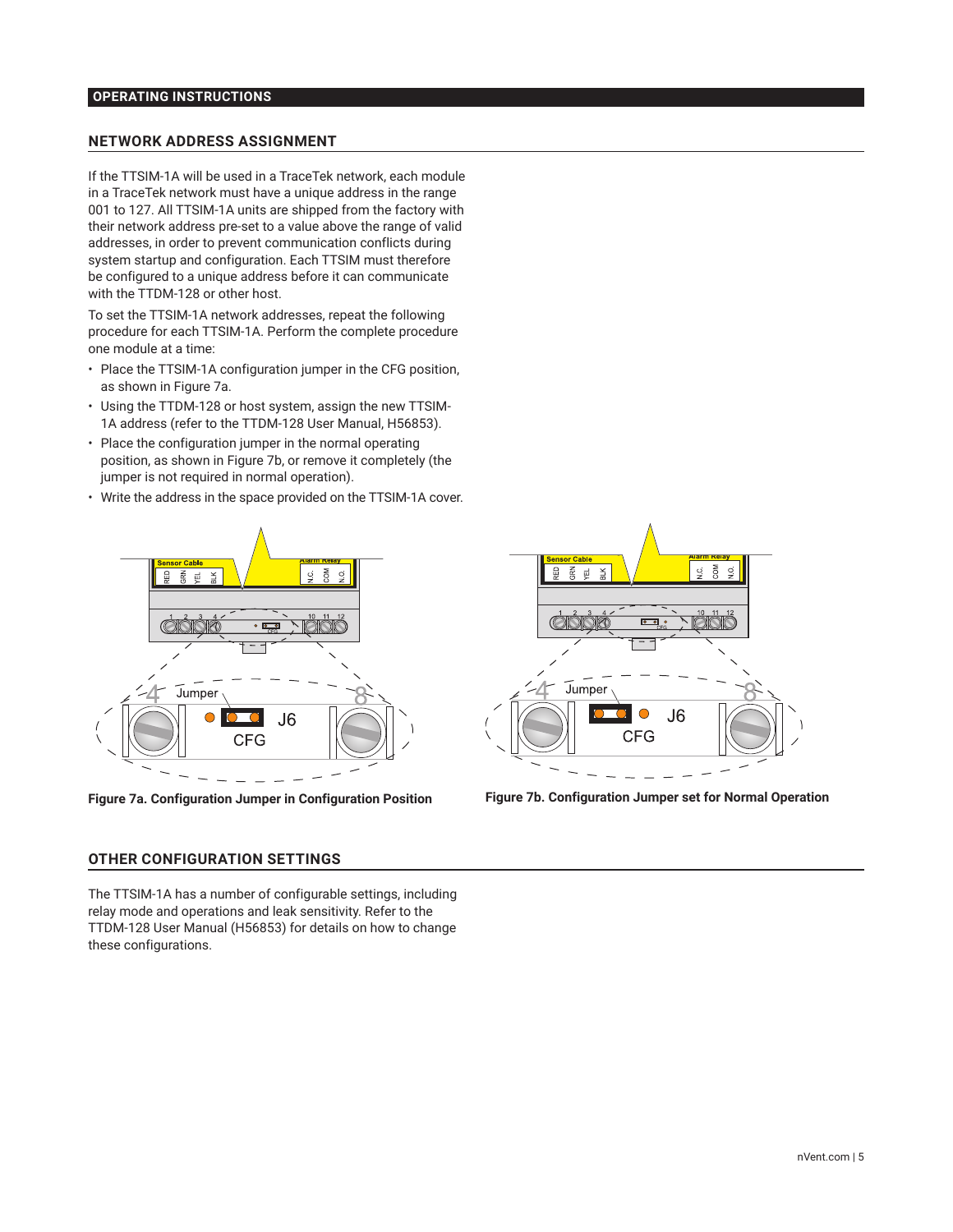# **OPERATING INSTRUCTIONS**

#### **NETWORK ADDRESS ASSIGNMENT**

If the TTSIM-1A will be used in a TraceTek network, each module in a TraceTek network must have a unique address in the range 001 to 127. All TTSIM-1A units are shipped from the factory with their network address pre-set to a value above the range of valid addresses, in order to prevent communication conflicts during system startup and configuration. Each TTSIM must therefore be configured to a unique address before it can communicate with the TTDM-128 or other host.

To set the TTSIM-1A network addresses, repeat the following procedure for each TTSIM-1A. Perform the complete procedure one module at a time:

- Place the TTSIM-1A configuration jumper in the CFG position, as shown in Figure 7a.
- Using the TTDM-128 or host system, assign the new TTSIM-1A address (refer to the TTDM-128 User Manual, H56853).
- Place the configuration jumper in the normal operating position, as shown in Figure 7b, or remove it completely (the jumper is not required in normal operation).
- Write the address in the space provided on the TTSIM-1A cover.





The TTSIM-1A has a number of configurable settings, including relay mode and operations and leak sensitivity. Refer to the TTDM-128 User Manual (H56853) for details on how to change these configurations.



**Figure 7a. Configuration Jumper in Configuration Position Figure 7b. Configuration Jumper set for Normal Operation**